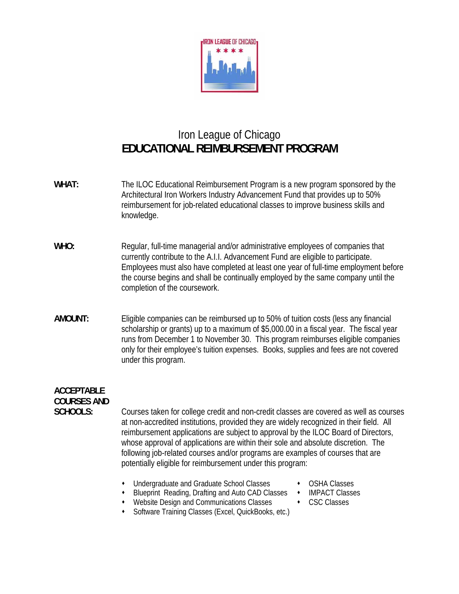

## Iron League of Chicago **EDUCATIONAL REIMBURSEMENT PROGRAM**

- **WHAT:** The ILOC Educational Reimbursement Program is a new program sponsored by the Architectural Iron Workers Industry Advancement Fund that provides up to 50% reimbursement for job-related educational classes to improve business skills and knowledge.
- WHO: Regular, full-time managerial and/or administrative employees of companies that currently contribute to the A.I.I. Advancement Fund are eligible to participate. Employees must also have completed at least one year of full-time employment before the course begins and shall be continually employed by the same company until the completion of the coursework.
- **AMOUNT:** Eligible companies can be reimbursed up to 50% of tuition costs (less any financial scholarship or grants) up to a maximum of \$5,000.00 in a fiscal year. The fiscal year runs from December 1 to November 30. This program reimburses eligible companies only for their employee's tuition expenses. Books, supplies and fees are not covered under this program.

## **ACCEPTABLE COURSES AND**

**SCHOOLS:** Courses taken for college credit and non-credit classes are covered as well as courses at non-accredited institutions, provided they are widely recognized in their field. All reimbursement applications are subject to approval by the ILOC Board of Directors, whose approval of applications are within their sole and absolute discretion. The following job-related courses and/or programs are examples of courses that are potentially eligible for reimbursement under this program:

- Undergraduate and Graduate School Classes OSHA Classes
- Blueprint Reading, Drafting and Auto CAD Classes IMPACT Classes
- Website Design and Communications Classes  $\longrightarrow$  CSC Classes
- -
- Software Training Classes (Excel, QuickBooks, etc.)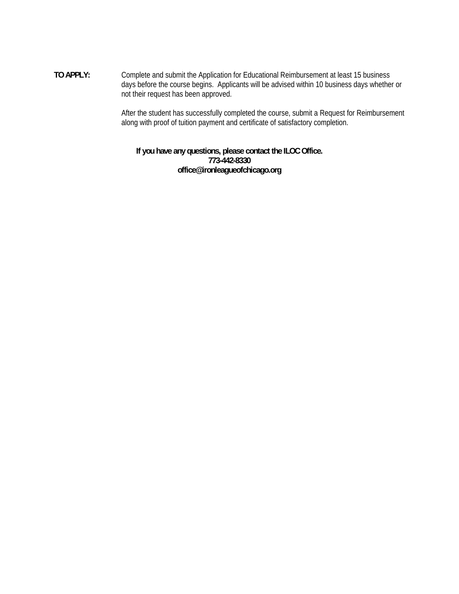**TO APPLY:** Complete and submit the Application for Educational Reimbursement at least 15 business days before the course begins. Applicants will be advised within 10 business days whether or not their request has been approved.

> After the student has successfully completed the course, submit a Request for Reimbursement along with proof of tuition payment and certificate of satisfactory completion.

**If you have any questions, please contact the ILOC Office. 773-442-8330 office@ironleagueofchicago.org**